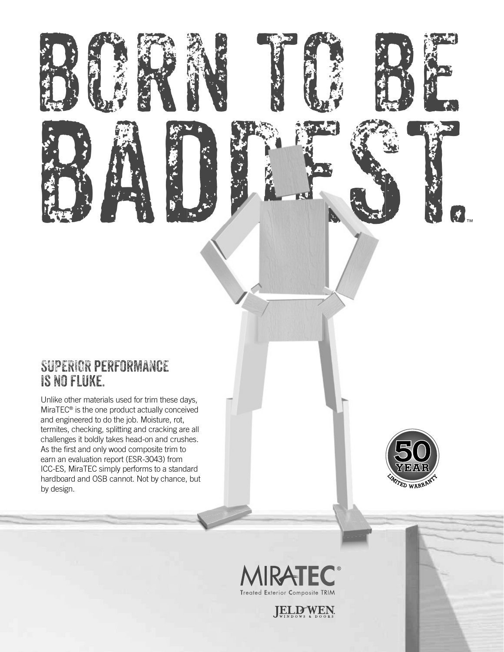## **SUPERIOR PERFORMANCE** IS NO FLUKE.

Unlike other materials used for trim these days, MiraTEC<sup>®</sup> is the one product actually conceived and engineered to do the job. Moisture, rot, termites, checking, splitting and cracking are all challenges it boldly takes head-on and crushes. As the first and only wood composite trim to earn an evaluation report (ESR-3043) from ICC-ES, MiraTEC simply performs to a standard hardboard and OSB cannot. Not by chance, but by design.



**S** 



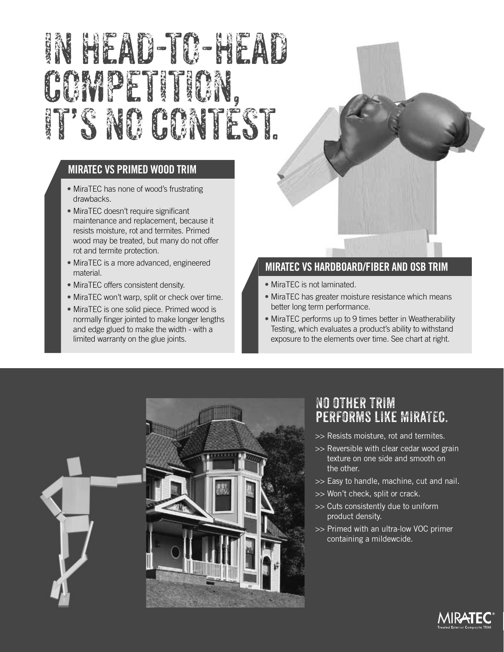# IN HEAD-TO-HEAD COMPETITION, IT'S NO CONTEST.

## **MIRATEC VS PRIMED WOOD TRIM**

- MiraTEC has none of wood's frustrating drawbacks.
- MiraTEC doesn't require significant maintenance and replacement, because it resists moisture, rot and termites. Primed wood may be treated, but many do not offer rot and termite protection.
- MiraTEC is a more advanced, engineered material.
- MiraTEC offers consistent density.
- MiraTEC won't warp, split or check over time.
- MiraTEC is one solid piece. Primed wood is normally finger jointed to make longer lengths and edge glued to make the width - with a limited warranty on the glue joints.

### **MIRATEC VS HARDBOARD/FIBER AND OSB TRIM**

- MiraTEC is not laminated.
- MiraTEC has greater moisture resistance which means better long term performance.
- MiraTEC performs up to 9 times better in Weatherability Testing, which evaluates a product's ability to withstand exposure to the elements over time. See chart at right.



## No other trim PERFORMS LIKE MIRATEC.

- >> Resists moisture, rot and termites.
- >> Reversible with clear cedar wood grain texture on one side and smooth on the other.
- >> Easy to handle, machine, cut and nail.
- >> Won't check, split or crack.
- >> Cuts consistently due to uniform product density.
- >> Primed with an ultra-low VOC primer containing a mildewcide.

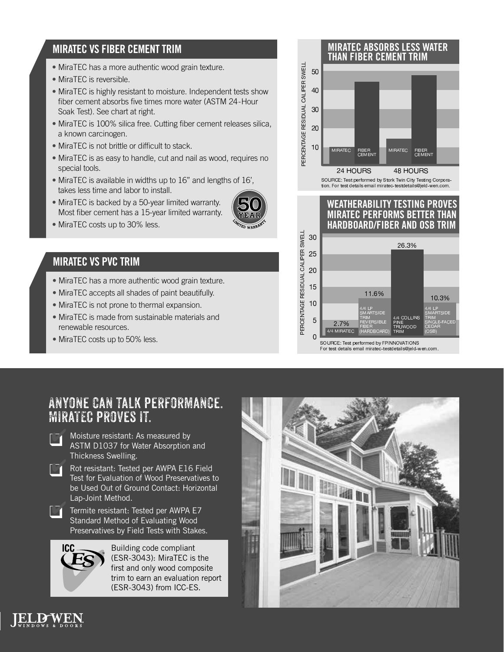## **MIRATEC VS FIBER CEMENT TRIM**

- MiraTEC has a more authentic wood grain texture.
- MiraTEC is reversible.
- MiraTEC is highly resistant to moisture. Independent tests show fiber cement absorbs five times more water (ASTM 24 - Hour Soak Test). See chart at right.
- MiraTEC is 100% silica free. Cutting fiber cement releases silica, a known carcinogen.
- MiraTEC is not brittle or difficult to stack.
- MiraTEC is as easy to handle, cut and nail as wood, requires no special tools.
- MiraTEC is available in widths up to 16" and lengths of 16', takes less time and labor to install.
- MiraTEC is backed by a 50-year limited warranty. Most fiber cement has a 15-year limited warranty.



• MiraTEC costs up to 30% less.

## **MIRATEC VS PVC TRIM**

- MiraTEC has a more authentic wood grain texture.
- MiraTEC accepts all shades of paint beautifully.
- MiraTEC is not prone to thermal expansion.
- MiraTEC is made from sustainable materials and renewable resources.
- MiraTEC costs up to 50% less.



## Anyone can talk performance. MiraTEC proves it.



Moisture resistant: As measured by ASTM D1037 for Water Absorption and Thickness Swelling.

Rot resistant: Tested per AWPA E16 Field<br>Test for Evaluation of Wood Preservatives t Test for Evaluation of Wood Preservatives to be Used Out of Ground Contact: Horizontal Lap-Joint Method.



Termite resistant: Tested per AWPA E7 Standard Method of Evaluating Wood Preservatives by Field Tests with Stakes.



Building code compliant (ESR-3043): MiraTEC is the first and only wood composite trim to earn an evaluation report (ESR-3043) from ICC-ES.